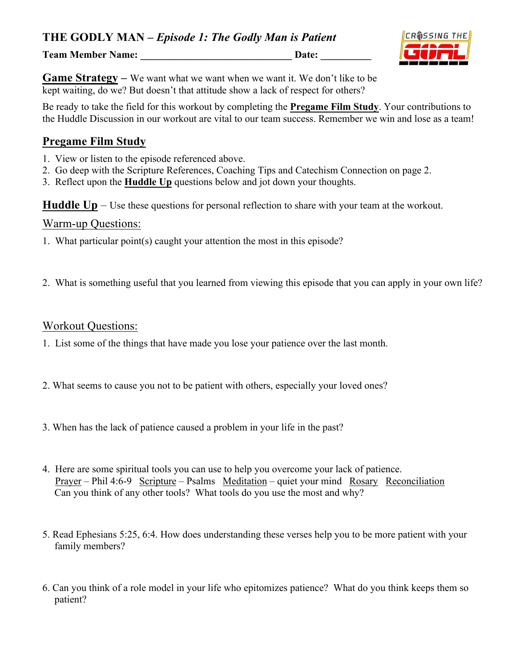**THE GODLY MAN –** *Episode 1: The Godly Man is Patient*

**Team Member Name:** Date:

CROSSING THE



Be ready to take the field for this workout by completing the **Pregame Film Study**. Your contributions to the Huddle Discussion in our workout are vital to our team success. Remember we win and lose as a team!

#### **Pregame Film Study**

- 1. View or listen to the episode referenced above.
- 2. Go deep with the Scripture References, Coaching Tips and Catechism Connection on page 2.
- 3. Reflect upon the **Huddle Up** questions below and jot down your thoughts.

**Huddle Up** – Use these questions for personal reflection to share with your team at the workout.

#### Warm-up Questions:

- 1. What particular point(s) caught your attention the most in this episode?
- 2. What is something useful that you learned from viewing this episode that you can apply in your own life?

#### Workout Questions:

- 1. List some of the things that have made you lose your patience over the last month.
- 2. What seems to cause you not to be patient with others, especially your loved ones?
- 3. When has the lack of patience caused a problem in your life in the past?
- 4. Here are some spiritual tools you can use to help you overcome your lack of patience. Prayer – Phil 4:6-9 Scripture – Psalms Meditation – quiet your mind Rosary Reconciliation Can you think of any other tools? What tools do you use the most and why?
- 5. Read Ephesians 5:25, 6:4. How does understanding these verses help you to be more patient with your family members?
- 6. Can you think of a role model in your life who epitomizes patience? What do you think keeps them so patient?